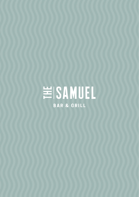